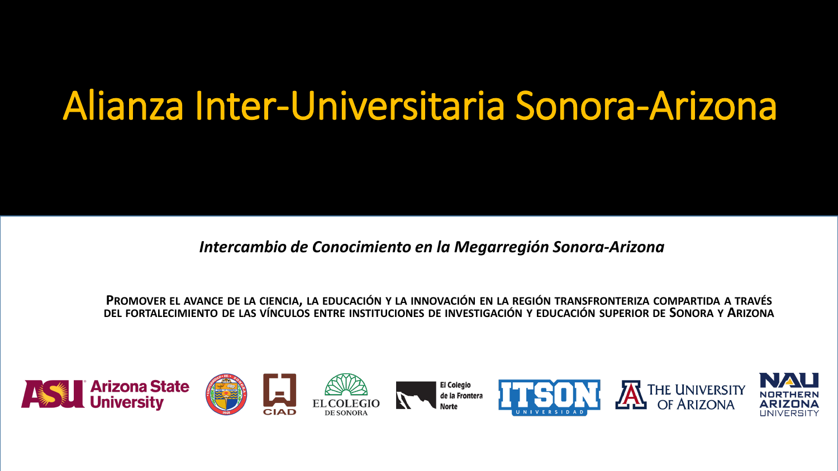## Alianza Inter-Universitaria Sonora-Arizona

*Intercambio de Conocimiento en la Megarregión Sonora-Arizona*

PROMOVER EL AVANCE DE LA CIENCIA, LA EDUCACIÓN Y LA INNOVACIÓN EN LA REGIÓN TRANSFRONTERIZA COMPARTIDA A TRAVÉS DEL FORTALECIMIENTO DE LAS VÍNCULOS ENTRE INSTITUCIONES DE INVESTIGACIÓN Y EDUCACIÓN SUPERIOR DE SONORA Y ARIZONA

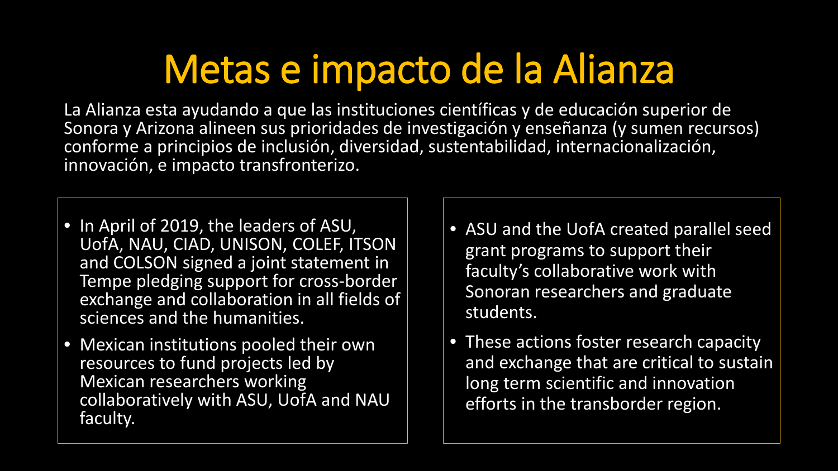# Metas e impacto de la Alianza

La Alianza esta ayudando a que las instituciones científicas y de educación superior de Sonora y Arizona alineen sus prioridades de investigación y enseñanza (y sumen recursos) conforme a principios de inclusión, diversidad, sustentabilidad, internacionalización, innovación, e impacto transfronterizo.

- In April of 2019, the leaders of ASU, UofA, NAU, CIAD, UNISON, COLEF, ITSON and COLSON signed a joint statement in Tempe pledging support for cross-border exchange and collaboration in all fields of sciences and the humanities.
- Mexican institutions pooled their own resources to fund projects led by Mexican researchers working collaboratively with ASU, UofA and NAU faculty.
- ASU and the UofA created parallel seed grant programs to support their faculty's collaborative work with Sonoran researchers and graduate students.
- These actions foster research capacity and exchange that are critical to sustain long term scientific and innovation efforts in the transborder region.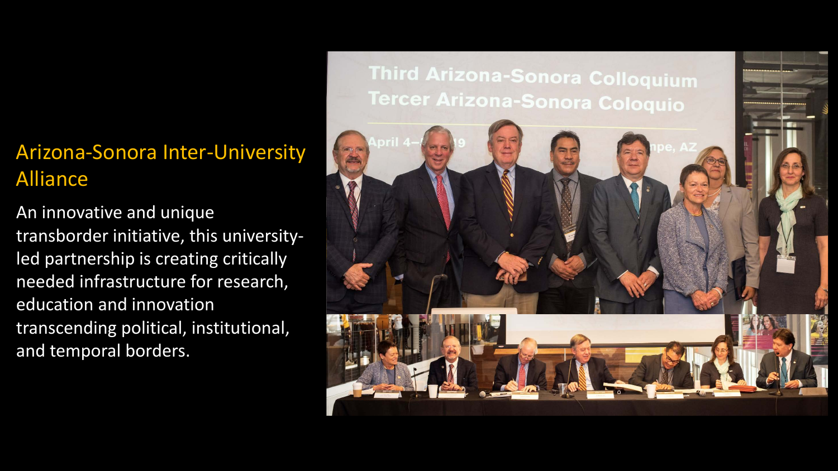### Arizona-Sonora Inter-University Alliance

An innovative and unique transborder initiative, this universityled partnership is creating critically needed infrastructure for research, education and innovation transcending political, institutional, and temporal borders.

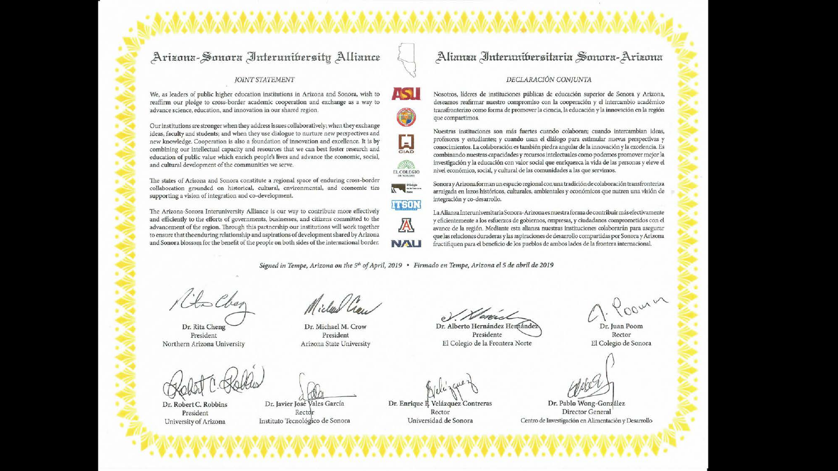### Arizona-Sonora Interunibersity Alliance

#### **IOINT STATEMENT**

We, as leaders of public higher education institutions in Arizona and Sonora, wish to reaffirm our pledge to cross-border academic cooperation and exchange as a way to advance science, education, and innovation in our shared region.

Our institutions are stronger when they address issues collaboratively; when they exchange ideas, faculty and students; and when they use dialogue to nurture new perspectives and new knowledge. Cooperation is also a foundation of innovation and excellence. It is by combining our intellectual capacity and resources that we can best foster research and education of public value which enrich people's lives and advance the economic, social, and cultural development of the communities we serve.

The states of Arizona and Sonora constitute a regional space of enduring cross-border collaboration grounded on historical, cultural, environmental, and economic ties supporting a vision of integration and co-development.

The Arizona-Sonora Interuniversity Alliance is our way to contribute more effectively and efficiently to the efforts of governments, businesses, and citizens committed to the advancement of the region. Through this partnership our institutions will work together to ensure that the enduring relationship and aspirations of development shared by Arizona and Sonora blossom for the benefit of the people on both sides of the international border.

### Alianza Interunibersitaria Sonora-Arizona

#### DECLARACIÓN CONJUNTA

Nosotros, líderes de instituciones públicas de educación superior de Sonora y Arizona, deseamos reafirmar nuestro compromiso con la cooperación y el intercambio académico transfronterizo como forma de promover la ciencia, la educación y la innovación en la región que compartimos.

Nuestras instituciones son más fuertes cuando colaboran; cuando intercambian ideas, profesores y estudiantes; y cuando usan el diálogo para estimular nuevas perspectivas y conocimientos. La colaboración es también piedra angular de la innovación y la excelencia. Es combinando nuestras capacidades y recursos intelectuales como podemos promover mejor la investigación y la educación con valor social que enriquezca la vida de las personas y eleve el nivel económico, social, y cultural de las comunidades a las que servimos.

Sonora y Arizona forman un espacio regional con una tradición de colaboración transfronteriza arraigada en lazos históricos, culturales, ambientales y económicos que nutren una visión de integración y co-desarrollo.

La Alianza Interuniversitaria Sonora-Arizona es nuestra forma de contribuir más efectivamente y eficientemente a los esfuerzos de gobiernos, empresas, y ciudadanos comprometidos con el avance de la región. Mediante esta alianza nuestras instituciones colaborarán para asegurar que las relaciones duraderas y las aspiraciones de desarrollo compartidas por Sonora y Arizona fructifiquen para el beneficio de los pueblos de ambos lados de la frontera internacional.

Signed in Tempe, Arizona on the 5<sup>th</sup> of April, 2019 • Firmado en Tempe, Arizona el 5 de abril de 2019

**ASI** 

U

 $\Gamma$ 

**SIZ** 

EL COLEGIO

 $\begin{picture}(130,10) \put(0,0){\line(1,0){10}} \put(15,0){\line(1,0){10}} \put(15,0){\line(1,0){10}} \put(15,0){\line(1,0){10}} \put(15,0){\line(1,0){10}} \put(15,0){\line(1,0){10}} \put(15,0){\line(1,0){10}} \put(15,0){\line(1,0){10}} \put(15,0){\line(1,0){10}} \put(15,0){\line(1,0){10}} \put(15,0){\line(1,0){10}} \put(15,0){\line($ 

**ITSON** 

A

**NAU** 

Kits Cher

Dr. Rita Cheng President Northern Arizona University

Dr. Michael M. Crow

Dr. Robert C. Robbins President University of Arizona

President Arizona State University

Dr. Javier José Vales García Recto Instituto Tecnológico de Sonora

Dr. Enrique II, Velázquez Contreras Rector Universidad de Sonora

Dr. Alberto Hernández Hernánde

Presidente El Colegio de la Frontera Norte

Cour un

Rector El Colegio de Sonora

Dr. Pablo Wong-González Director General Centro de Investigación en Alimentación y Desarrollo

Dr. Juan Poom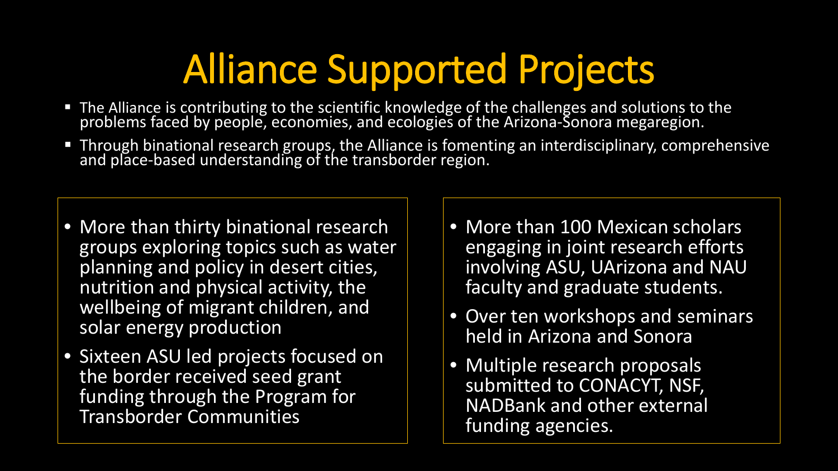# Alliance Supported Projects

- The Alliance is contributing to the scientific knowledge of the challenges and solutions to the problems faced by people, economies, and ecologies of the Arizona-Sonora megaregion.
- Through binational research groups, the Alliance is fomenting an interdisciplinary, comprehensive and place-based understanding of the transborder region.
- More than thirty binational research groups exploring topics such as water planning and policy in desert cities, nutrition and physical activity, the wellbeing of migrant children, and solar energy production
- Sixteen ASU led projects focused on the border received seed grant funding through the Program for Transborder Communities
- More than 100 Mexican scholars engaging in joint research efforts involving ASU, UArizona and NAU faculty and graduate students.
- Over ten workshops and seminars held in Arizona and Sonora
- Multiple research proposals submitted to CONACYT, NSF, NADBank and other external funding agencies.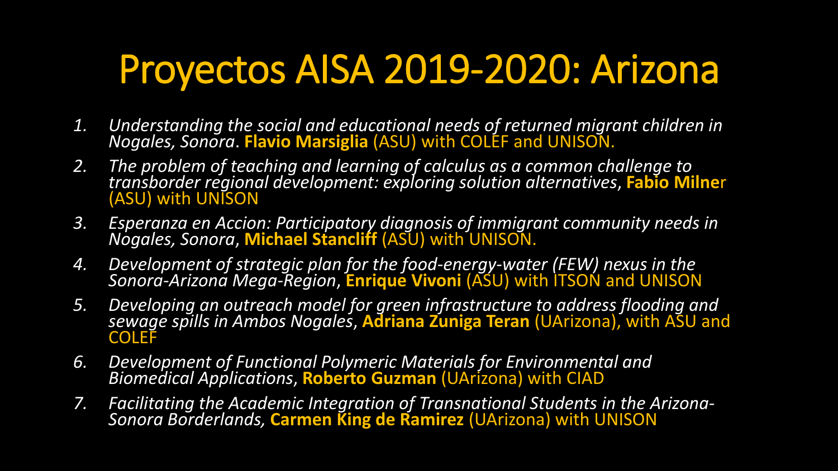# Proyectos AISA 2019-2020: Arizona

- *1. Understanding the social and educational needs of returned migrant children in Nogales, Sonora*. **Flavio Marsiglia** (ASU) with COLEF and UNISON.
- *2. The problem of teaching and learning of calculus as a common challenge to transborder regional development: exploring solution alternatives*, **Fabio Milne**r (ASU) with UNISON
- *3. Esperanza en Accion: Participatory diagnosis of immigrant community needs in Nogales, Sonora*, **Michael Stancliff** (ASU) with UNISON.
- *4. Development of strategic plan for the food-energy-water (FEW) nexus in the Sonora-Arizona Mega-Region*, **Enrique Vivoni** (ASU) with ITSON and UNISON
- *5. Developing an outreach model for green infrastructure to address flooding and sewage spills in Ambos Nogales*, **Adriana Zuniga Teran** (UArizona), with ASU and **COLEF**
- *6. Development of Functional Polymeric Materials for Environmental and Biomedical Applications*, **Roberto Guzman** (UArizona) with CIAD
- *7. Facilitating the Academic Integration of Transnational Students in the Arizona- Sonora Borderlands,* **Carmen King de Ramirez** (UArizona) with UNISON